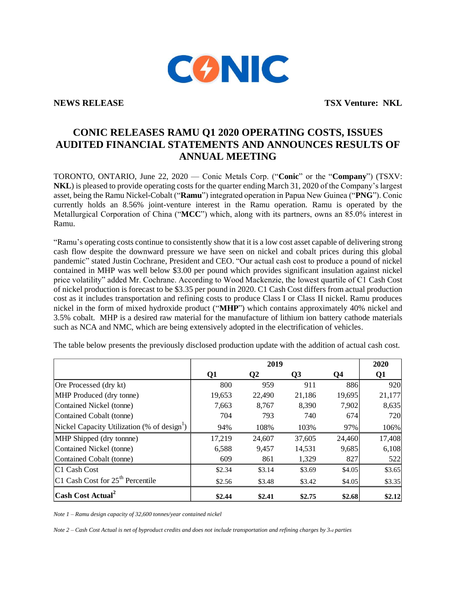

**NEWS RELEASE TSX Venture: NKL**

# **CONIC RELEASES RAMU Q1 2020 OPERATING COSTS, ISSUES AUDITED FINANCIAL STATEMENTS AND ANNOUNCES RESULTS OF ANNUAL MEETING**

TORONTO, ONTARIO, June 22, 2020 — Conic Metals Corp. ("**Conic**" or the "**Company**") (TSXV: **NKL**) is pleased to provide operating costs for the quarter ending March 31, 2020 of the Company's largest asset, being the Ramu Nickel-Cobalt ("**Ramu**") integrated operation in Papua New Guinea ("**PNG**"). Conic currently holds an 8.56% joint-venture interest in the Ramu operation. Ramu is operated by the Metallurgical Corporation of China ("**MCC**") which, along with its partners, owns an 85.0% interest in Ramu.

"Ramu's operating costs continue to consistently show that it is a low cost asset capable of delivering strong cash flow despite the downward pressure we have seen on nickel and cobalt prices during this global pandemic" stated Justin Cochrane, President and CEO. "Our actual cash cost to produce a pound of nickel contained in MHP was well below \$3.00 per pound which provides significant insulation against nickel price volatility" added Mr. Cochrane. According to Wood Mackenzie, the lowest quartile of C1 Cash Cost of nickel production is forecast to be \$3.35 per pound in 2020. C1 Cash Cost differs from actual production cost as it includes transportation and refining costs to produce Class I or Class II nickel. Ramu produces nickel in the form of mixed hydroxide product ("**MHP**") which contains approximately 40% nickel and 3.5% cobalt. MHP is a desired raw material for the manufacture of lithium ion battery cathode materials such as NCA and NMC, which are being extensively adopted in the electrification of vehicles.

The table below presents the previously disclosed production update with the addition of actual cash cost.

|                                                         | 2019   |              |        | 2020           |                |
|---------------------------------------------------------|--------|--------------|--------|----------------|----------------|
|                                                         | Q1     | $\mathbf{Q}$ | Q3     | Q <sub>4</sub> | Q <sub>1</sub> |
| Ore Processed (dry kt)                                  | 800    | 959          | 911    | 886            | 920            |
| MHP Produced (dry tonne)                                | 19,653 | 22,490       | 21,186 | 19,695         | 21,177         |
| Contained Nickel (tonne)                                | 7,663  | 8,767        | 8,390  | 7,902          | 8,635          |
| Contained Cobalt (tonne)                                | 704    | 793          | 740    | 674            | 720            |
| Nickel Capacity Utilization (% of design <sup>1</sup> ) | 94%    | 108%         | 103%   | 97%            | 106%           |
| MHP Shipped (dry tonnne)                                | 17,219 | 24,607       | 37,605 | 24,460         | 17,408         |
| Contained Nickel (tonne)                                | 6,588  | 9,457        | 14,531 | 9,685          | 6,108          |
| Contained Cobalt (tonne)                                | 609    | 861          | 1,329  | 827            | 522            |
| C1 Cash Cost                                            | \$2.34 | \$3.14       | \$3.69 | \$4.05         | \$3.65         |
| $CI$ Cash Cost for $25th$ Percentile                    | \$2.56 | \$3.48       | \$3.42 | \$4.05         | \$3.35         |
| Cash Cost Actual <sup>2</sup>                           | \$2.44 | \$2.41       | \$2.75 | \$2.68         | \$2.12         |

*Note 1 – Ramu design capacity of 32,600 tonnes/year contained nickel*

*Note 2 – Cash Cost Actual is net of byproduct credits and does not include transportation and refining charges by 3rd parties*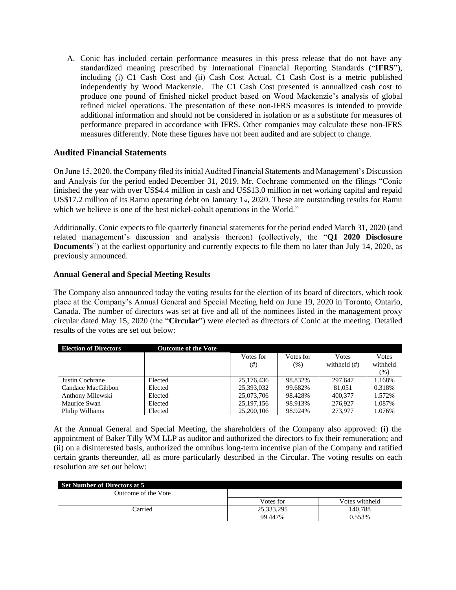A. Conic has included certain performance measures in this press release that do not have any standardized meaning prescribed by International Financial Reporting Standards ("**IFRS**"), including (i) C1 Cash Cost and (ii) Cash Cost Actual. C1 Cash Cost is a metric published independently by Wood Mackenzie. The C1 Cash Cost presented is annualized cash cost to produce one pound of finished nickel product based on Wood Mackenzie's analysis of global refined nickel operations. The presentation of these non-IFRS measures is intended to provide additional information and should not be considered in isolation or as a substitute for measures of performance prepared in accordance with IFRS. Other companies may calculate these non-IFRS measures differently. Note these figures have not been audited and are subject to change.

## **Audited Financial Statements**

On June 15, 2020, the Company filed its initial Audited Financial Statements and Management's Discussion and Analysis for the period ended December 31, 2019. Mr. Cochrane commented on the filings "Conic finished the year with over US\$4.4 million in cash and US\$13.0 million in net working capital and repaid US\$17.2 million of its Ramu operating debt on January 1st, 2020. These are outstanding results for Ramu which we believe is one of the best nickel-cobalt operations in the World."

Additionally, Conic expects to file quarterly financial statements for the period ended March 31, 2020 (and related management's discussion and analysis thereon) (collectively, the "**Q1 2020 Disclosure Documents**") at the earliest opportunity and currently expects to file them no later than July 14, 2020, as previously announced.

## **Annual General and Special Meeting Results**

The Company also announced today the voting results for the election of its board of directors, which took place at the Company's Annual General and Special Meeting held on June 19, 2020 in Toronto, Ontario, Canada. The number of directors was set at five and all of the nominees listed in the management proxy circular dated May 15, 2020 (the "**Circular**") were elected as directors of Conic at the meeting. Detailed results of the votes are set out below:

| <b>Election of Directors</b> | <b>Outcome of the Vote</b> |              |           |                 |               |
|------------------------------|----------------------------|--------------|-----------|-----------------|---------------|
|                              |                            | Votes for    | Votes for | Votes           | <b>V</b> otes |
|                              |                            | (# )         | (% )      | withheld $(\#)$ | withheld      |
|                              |                            |              |           |                 | (% )          |
| Justin Cochrane              | Elected                    | 25,176,436   | 98.832%   | 297,647         | 1.168%        |
| Candace MacGibbon            | Elected                    | 25,393,032   | 99.682%   | 81,051          | 0.318%        |
| Anthony Milewski             | Elected                    | 25,073,706   | 98.428%   | 400,377         | 1.572%        |
| Maurice Swan                 | Elected                    | 25, 197, 156 | 98.913%   | 276,927         | 1.087%        |
| Philip Williams              | Elected                    | 25,200,106   | 98.924%   | 273,977         | 1.076%        |

At the Annual General and Special Meeting, the shareholders of the Company also approved: (i) the appointment of Baker Tilly WM LLP as auditor and authorized the directors to fix their remuneration; and (ii) on a disinterested basis, authorized the omnibus long-term incentive plan of the Company and ratified certain grants thereunder, all as more particularly described in the Circular. The voting results on each resolution are set out below:

| <b>Set Number of Directors at 5</b> |            |                |  |  |  |
|-------------------------------------|------------|----------------|--|--|--|
| Outcome of the Vote                 |            |                |  |  |  |
|                                     | Votes for  | Votes withheld |  |  |  |
| Carried                             | 25,333,295 | 140.788        |  |  |  |
|                                     | 99.447%    | 0.553%         |  |  |  |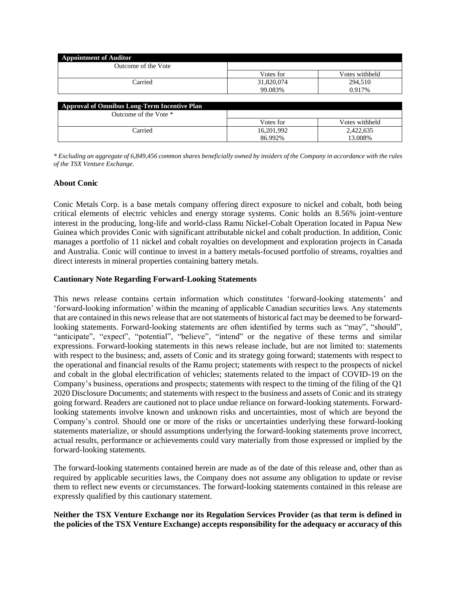| <b>Appointment of Auditor</b>                       |            |                |
|-----------------------------------------------------|------------|----------------|
| Outcome of the Vote                                 |            |                |
|                                                     | Votes for  | Votes withheld |
| Carried                                             | 31,820,074 | 294,510        |
|                                                     | 99.083%    | 0.917%         |
|                                                     |            |                |
| <b>Approval of Omnibus Long-Term Incentive Plan</b> |            |                |
| Outcome of the Vote *                               |            |                |
|                                                     | Votes for  | Votes withheld |
| Carried                                             | 16,201,992 | 2,422,635      |
|                                                     | 86.992%    | 13.008%        |

*\* Excluding an aggregate of 6,849,456 common shares beneficially owned by insiders of the Company in accordance with the rules of the TSX Venture Exchange.*

### **About Conic**

Conic Metals Corp. is a base metals company offering direct exposure to nickel and cobalt, both being critical elements of electric vehicles and energy storage systems. Conic holds an 8.56% joint-venture interest in the producing, long-life and world-class Ramu Nickel-Cobalt Operation located in Papua New Guinea which provides Conic with significant attributable nickel and cobalt production. In addition, Conic manages a portfolio of 11 nickel and cobalt royalties on development and exploration projects in Canada and Australia. Conic will continue to invest in a battery metals-focused portfolio of streams, royalties and direct interests in mineral properties containing battery metals.

#### **Cautionary Note Regarding Forward-Looking Statements**

This news release contains certain information which constitutes 'forward-looking statements' and 'forward-looking information' within the meaning of applicable Canadian securities laws. Any statements that are contained in this news release that are not statements of historical fact may be deemed to be forwardlooking statements. Forward-looking statements are often identified by terms such as "may", "should", "anticipate", "expect", "potential", "believe", "intend" or the negative of these terms and similar expressions. Forward-looking statements in this news release include, but are not limited to: statements with respect to the business; and, assets of Conic and its strategy going forward; statements with respect to the operational and financial results of the Ramu project; statements with respect to the prospects of nickel and cobalt in the global electrification of vehicles; statements related to the impact of COVID-19 on the Company's business, operations and prospects; statements with respect to the timing of the filing of the Q1 2020 Disclosure Documents; and statements with respect to the business and assets of Conic and its strategy going forward. Readers are cautioned not to place undue reliance on forward-looking statements. Forwardlooking statements involve known and unknown risks and uncertainties, most of which are beyond the Company's control. Should one or more of the risks or uncertainties underlying these forward-looking statements materialize, or should assumptions underlying the forward-looking statements prove incorrect, actual results, performance or achievements could vary materially from those expressed or implied by the forward-looking statements.

The forward-looking statements contained herein are made as of the date of this release and, other than as required by applicable securities laws, the Company does not assume any obligation to update or revise them to reflect new events or circumstances. The forward-looking statements contained in this release are expressly qualified by this cautionary statement.

### **Neither the TSX Venture Exchange nor its Regulation Services Provider (as that term is defined in the policies of the TSX Venture Exchange) accepts responsibility for the adequacy or accuracy of this**